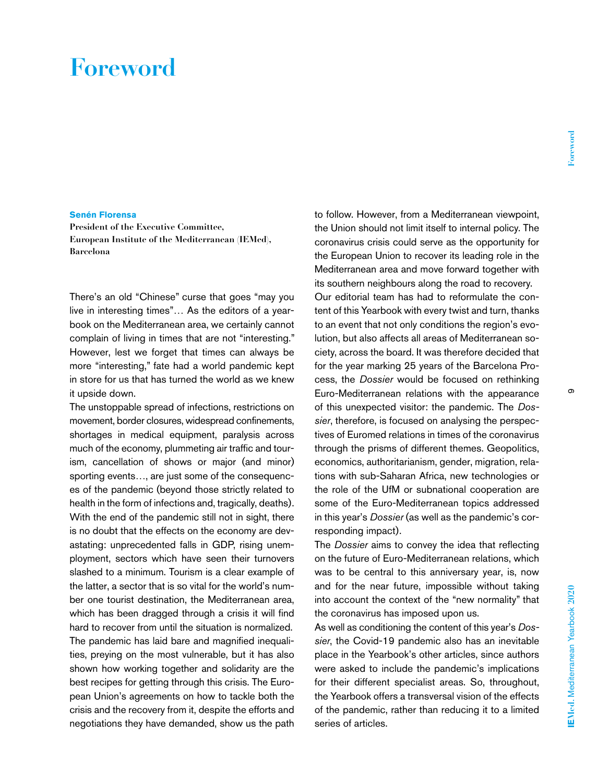## **Foreword**

## **Senén Florensa**

**President of the Executive Committee, European Institute of the Mediterranean (IEMed), Barcelona**

There's an old "Chinese" curse that goes "may you live in interesting times"… As the editors of a yearbook on the Mediterranean area, we certainly cannot complain of living in times that are not "interesting." However, lest we forget that times can always be more "interesting," fate had a world pandemic kept in store for us that has turned the world as we knew it upside down.

The unstoppable spread of infections, restrictions on movement, border closures, widespread confinements, shortages in medical equipment, paralysis across much of the economy, plummeting air traffic and tourism, cancellation of shows or major (and minor) sporting events…, are just some of the consequences of the pandemic (beyond those strictly related to health in the form of infections and, tragically, deaths). With the end of the pandemic still not in sight, there is no doubt that the effects on the economy are devastating: unprecedented falls in GDP, rising unemployment, sectors which have seen their turnovers slashed to a minimum. Tourism is a clear example of the latter, a sector that is so vital for the world's number one tourist destination, the Mediterranean area, which has been dragged through a crisis it will find hard to recover from until the situation is normalized. The pandemic has laid bare and magnified inequalities, preying on the most vulnerable, but it has also shown how working together and solidarity are the best recipes for getting through this crisis. The European Union's agreements on how to tackle both the crisis and the recovery from it, despite the efforts and negotiations they have demanded, show us the path

to follow. However, from a Mediterranean viewpoint, the Union should not limit itself to internal policy. The coronavirus crisis could serve as the opportunity for the European Union to recover its leading role in the Mediterranean area and move forward together with its southern neighbours along the road to recovery. Our editorial team has had to reformulate the content of this Yearbook with every twist and turn, thanks to an event that not only conditions the region's evolution, but also affects all areas of Mediterranean society, across the board. It was therefore decided that for the year marking 25 years of the Barcelona Process, the *Dossier* would be focused on rethinking Euro-Mediterranean relations with the appearance of this unexpected visitor: the pandemic. The *Dossier*, therefore, is focused on analysing the perspectives of Euromed relations in times of the coronavirus through the prisms of different themes. Geopolitics, economics, authoritarianism, gender, migration, relations with sub-Saharan Africa, new technologies or the role of the UfM or subnational cooperation are some of the Euro-Mediterranean topics addressed in this year's *Dossier* (as well as the pandemic's corresponding impact).

The *Dossier* aims to convey the idea that reflecting on the future of Euro-Mediterranean relations, which was to be central to this anniversary year, is, now and for the near future, impossible without taking into account the context of the "new normality" that the coronavirus has imposed upon us.

As well as conditioning the content of this year's *Dossier*, the Covid-19 pandemic also has an inevitable place in the Yearbook's other articles, since authors were asked to include the pandemic's implications for their different specialist areas. So, throughout, the Yearbook offers a transversal vision of the effects of the pandemic, rather than reducing it to a limited series of articles.